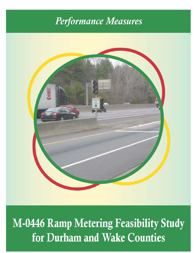# Performance Measures



# M-0446 Ramp Metering Feasibility Study for Durham and Wake Counties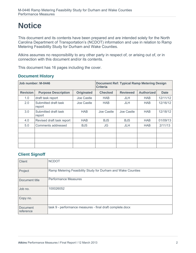# **Notice**

This document and its contents have been prepared and are intended solely for the North Carolina Department of Transportation's (NCDOT) information and use in relation to Ramp Metering Feasibility Study for Durham and Wake Counties.

Atkins assumes no responsibility to any other party in respect of, or arising out of, or in connection with this document and/or its contents.

This document has 16 pages including the cover.

#### **Document History**

|                 | Job number: M-0446             |                   | <b>Document Ref: Typical Ramp Metering Design</b><br><b>Criteria</b> |                 |                   |             |  |  |  |
|-----------------|--------------------------------|-------------------|----------------------------------------------------------------------|-----------------|-------------------|-------------|--|--|--|
| <b>Revision</b> | <b>Purpose Description</b>     | <b>Originated</b> | <b>Checked</b>                                                       | <b>Reviewed</b> | <b>Authorized</b> | <b>Date</b> |  |  |  |
| 1.0             | draft task report              | Joe Castle        | <b>HAB</b>                                                           | <b>JLH</b>      | <b>HAB</b>        | 12/11/12    |  |  |  |
| 2.0             | Submitted draft task<br>report | Joe Castle        | <b>HAB</b>                                                           | <b>JLH</b>      | <b>HAB</b>        | 12/16/12    |  |  |  |
| 3.0             | Submitted draft task<br>report | <b>HAB</b>        | Joe Castle                                                           | Joe Castle      | <b>HAB</b>        | 12/18/12    |  |  |  |
| 4.0             | Revised draft task report      | <b>HAB</b>        | <b>BJS</b>                                                           | <b>BJS</b>      | <b>HAB</b>        | 01/09/13    |  |  |  |
| 5.0             | Comments addressed             | <b>BJS</b>        | JG                                                                   | JLH             | <b>HAB</b>        | 2/11/13     |  |  |  |
|                 |                                |                   |                                                                      |                 |                   |             |  |  |  |
|                 |                                |                   |                                                                      |                 |                   |             |  |  |  |
|                 |                                |                   |                                                                      |                 |                   |             |  |  |  |
|                 |                                |                   |                                                                      |                 |                   |             |  |  |  |

#### **Client Signoff**

| <b>Client</b>         | <b>NCDOT</b>                                                 |
|-----------------------|--------------------------------------------------------------|
| Project               | Ramp Metering Feasibility Study for Durham and Wake Counties |
| Document title        | <b>Performance Measures</b>                                  |
| Job no.               | 100026052                                                    |
| Copy no.              |                                                              |
| Document<br>reference | task 9 - performance measures - final draft complete.docx    |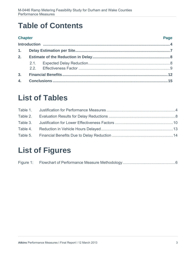## **Table of Contents**

| <b>Chapter</b> |  |  | <b>Page</b> |  |  |  |
|----------------|--|--|-------------|--|--|--|
|                |  |  |             |  |  |  |
|                |  |  |             |  |  |  |
|                |  |  |             |  |  |  |
|                |  |  |             |  |  |  |
|                |  |  |             |  |  |  |
|                |  |  |             |  |  |  |
|                |  |  |             |  |  |  |

#### **List of Tables**

## **List of Figures**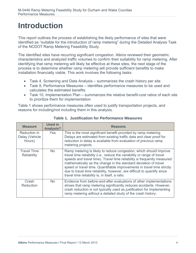## **Introduction**

This report outlines the process of establishing the likely performance of sites that were identified as "suitable for the introduction of ramp metering" during the Detailed Analysis Task of the NCDOT Ramp Metering Feasibility Study.

The identified sites have recurring significant congestion. Atkins reviewed their geometric characteristics and analyzed traffic volumes to confirm their suitability for ramp metering. After identifying that ramp metering will likely be effective at these sites, the next stage of the process is to determine whether ramp metering will provide sufficient benefits to make installation financially viable. This work involves the following tasks:

- Task 4, Screening and Data Analysis summarizes the crash history per site
- Task 9, Performance Measures identifies performance measures to be used and calculates the estimated benefits
- Task 10, Implementation Plan summarizes the relative benefit-cost ratios of each site to prioritize them for implementation

Table 1 shows performance measures often used to justify transportation projects, and reasons for including/not including them in this analysis.

| <b>Measure</b>                           | <b>Used in</b><br><b>Analysis?</b> | <b>Reasons</b>                                                                                                                                                                                                                                                                                                                                                                                                                                                                                          |
|------------------------------------------|------------------------------------|---------------------------------------------------------------------------------------------------------------------------------------------------------------------------------------------------------------------------------------------------------------------------------------------------------------------------------------------------------------------------------------------------------------------------------------------------------------------------------------------------------|
| Reduction in<br>Delay (Vehicle<br>Hours) | <b>Yes</b>                         | This is the most significant benefit provided by ramp metering.<br>Delays are estimated from existing traffic data and clear proof for<br>reduction in delay is available from evaluation of previous ramp<br>metering projects.                                                                                                                                                                                                                                                                        |
| <b>Travel Time</b><br><b>Reliability</b> | No.                                | Ramp metering is likely to reduce congestion, which should improve<br>travel time reliability (i.e., reduce the variability or range of travel<br>speeds and travel time). Travel time reliability is frequently measured<br>mathematically as the change in the standard deviation of travel<br>speed or travel time. Quantifiable improvements in travel time strictly<br>due to travel time reliability, however, are difficult to quantify since<br>travel time reliability is, in itself, a ratio. |
| Crash<br>Reduction                       | No.                                | Evidence from before-and-after evaluations of other implementations<br>shows that ramp metering significantly reduces accidents. However,<br>crash reduction is not typically used as justification for implementing<br>ramp metering without a detailed study of the crash history.                                                                                                                                                                                                                    |

**Table 1. Justification for Performance Measures**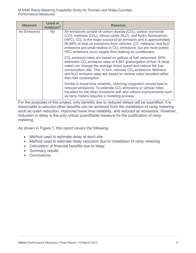| <b>Measure</b>       | <b>Used in</b><br><b>Analysis?</b> | <b>Reasons</b>                                                                                                                                                                                                                                                                                                                                                                                                                           |
|----------------------|------------------------------------|------------------------------------------------------------------------------------------------------------------------------------------------------------------------------------------------------------------------------------------------------------------------------------------------------------------------------------------------------------------------------------------------------------------------------------------|
| <b>Air Emissions</b> | No.                                | Air emissions consist of carbon dioxide $(CO2)$ , carbon monoxide<br>$(CO)$ , methane $(CH_4)$ , nitrous oxide $(N_2O)$ , and hydro fluorocarbon<br>(HFC). $CO2$ is the major source of air emission and is approximately<br>95-99% of total air emissions from vehicles. CO, methane, and $N_2O$<br>emissions are small relative to $CO2$ emissions, but are more potent.<br>HFC emissions occur largely from leaking air conditioners. |
|                      |                                    | $CO2$ emission rates are based on gallons of fuel consumed. EPA<br>estimates $CO2$ emission rates of 8,887 grams/gallon of fuel. A ramp<br>meter can change the average travel speed and reduce the fuel<br>consumption rate. This, in turn, reduces $CO2$ emissions. Methane<br>and N <sub>2</sub> O emission rates are based on vehicle miles travelled rather<br>than fuel consumption.                                               |
|                      |                                    | Similar to travel time reliability, reducing congestion should lead to<br>reduced emissions. To estimate $CO2$ emissions or vehicle miles<br>travelled for the other emissions with and without improvements such<br>as ramp meters requires a modeling process.                                                                                                                                                                         |

For the purposes of this project, only benefits due to reduced delays will be quantified. It is reasonable to assume other benefits can be achieved from the installation of ramp metering, such as crash reduction, improved travel time reliability, and reduced air emissions. However, reduction in delay is the only critical quantifiable measure for the justification of ramp metering.

As shown in Figure 1, this report covers the following:

- Method used to estimate delay at each site
- Method used to estimate delay reduction due to installation of ramp metering
- Calculation of financial benefits due to delay
- Summary results
- Conclusions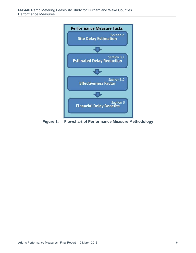

**Figure 1: Flowchart of Performance Measure Methodology**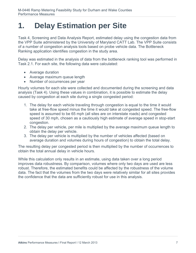### **1. Delay Estimation per Site**

Task 4, Screening and Data Analysis Report, estimated delay using the congestion data from the VPP Suite administered by the University of Maryland CATT Lab. The VPP Suite consists of a number of congestion analysis tools based on probe vehicle data. The Bottleneck Ranking application identifies congestion in the study area.

Delay was estimated in the analysis of data from the bottleneck ranking tool was performed in Task 2.1. For each site, the following data were calculated:

- Average duration
- Average maximum queue length
- Number of occurrences per year

Hourly volumes for each site were collected and documented during the screening and data analysis (Task 4). Using these values in combination, it is possible to estimate the delay caused by congestion at each site during a single congested period:

- 1. The delay for each vehicle traveling through congestion is equal to the time it would take at free-flow speed minus the time it would take at congested speed. The free-flow speed is assumed to be 65 mph (all sites are on interstate roads) and congested speed of 30 mph, chosen as a cautiously high estimate of average speed in stop-start congestion.
- 2. The delay per vehicle, per mile is multiplied by the average maximum queue length to obtain the delay per vehicle.
- 3. The delay per vehicle is multiplied by the number of vehicles affected (based on average duration and volumes during hours of congestion) to obtain the total delay.

The resulting delay per congested period is then multiplied by the number of occurrences to obtain the total annual delay in vehicle hours.

While this calculation only results in an estimate, using data taken over a long period improves data robustness. By comparison, volumes where only two days are used are less robust. Therefore, the estimated benefits could be affected by the robustness of the volume data. The fact that the volumes from the two days were relatively similar for all sites provides the confidence that the data are sufficiently robust for use in this analysis.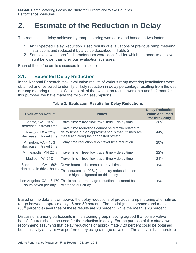#### **2. Estimate of the Reduction in Delay**

The reduction in delay achieved by ramp metering was estimated based on two factors:

- 1. An "Expected Delay Reduction" used results of evaluations of previous ramp metering installations and reduced it by a value described in Table 2.
- 2. Some sites with specific characteristics were identified for which the benefits achieved might be lower than previous evaluation averages.

Each of these factors is discussed in this section.

#### **2.1. Expected Delay Reduction**

In the National Research task, evaluation results of various ramp metering installations were obtained and reviewed to identify a likely reduction in delay percentage resulting from the use of ramp metering at a site. While not all of the evaluation results were in a useful format for this purpose, we have made the following assumptions:

| <b>Evaluation Result</b>                         | <b>Notes</b>                                                                                                                                            | <b>Delay Reduction</b><br><b>Value Assumed</b><br>for this Study |
|--------------------------------------------------|---------------------------------------------------------------------------------------------------------------------------------------------------------|------------------------------------------------------------------|
| Atlanta, GA - 10%<br>decrease in travel time     | Travel time = free-flow travel time $+$ delay time                                                                                                      | <b>20%</b>                                                       |
| Houston, $TX - 22\%$<br>decrease in travel time  | Travel time reductions cannot be directly related to<br>delay times but an approximation is that, if times are<br>measured along the congested stretch, | 44%                                                              |
| Arlington, VA - 10%<br>decrease in travel time   | Delay time reduction $\approx$ 2x travel time reduction                                                                                                 | 20%                                                              |
| Minneapolis, MN 22%                              | Travel time = free-flow travel time $+$ delay time                                                                                                      | 22%                                                              |
| Madison, WI 21%                                  | Travel time = free-flow travel time $+$ delay time                                                                                                      | 21%                                                              |
| Sacramento, CA - 50%<br>decrease in driver hours | Driver hours is the same as travel time<br>This equates to 100% (i.e., delay reduced to zero);<br>seems high, so ignored for this study                 | n/a                                                              |
| Los Angeles, $CA - 8,470$<br>hours saved per day | This is not a percentage reduction so cannot be<br>related to our study                                                                                 | n/a                                                              |

**Table 2. Evaluation Results for Delay Reductions** 

Based on the data shown above, the delay reductions of previous ramp metering alternatives range between approximately 16 and 50 percent. The modal (most common) and median  $(50<sup>th</sup>$  percentile) averages of these results are 20 percent, while the mean is 28 percent.

Discussions among participants in the steering group meeting agreed that conservative benefit figures should be used for the reduction in delay. For the purpose of this study, we recommend assuming that delay reductions of approximately 20 percent could be obtained, but sensitivity analysis was performed by using a range of values. The analysis has therefore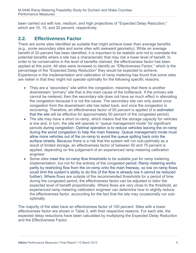been carried out with low, medium, and high projections of "Expected Delay Reduction," which are 10, 15, and 20 percent, respectively.

#### **2.2. Effectiveness Factor**

There are some sites identified as suitable that might achieve lower than average benefits (e.g., some secondary sites and some sites with awkward geometry). While an average benefit of 20 percent has been identified, it is important to be realistic and not to overstate the potential benefits where a site has a characteristic that may risk a lower level of benefit. In order to be conservative in the level of benefits claimed, the effectiveness factor has been applied at this point. All sites were reviewed to identify an "Effectiveness Factor," which is the percentage of the "Expected Delay Reduction" they would be expected to achieve. Experience in the implementation and calibration of ramp metering has found that some sites are riskier in that they might not operate optimally for the following specific reasons:

- They are a "secondary" site within the congestion, meaning that there is another downstream "primary" site that is the main cause of the bottleneck. If the primary site cannot be metered, then the secondary site does not have as much effect in alleviating the congestion because it is not the cause. The secondary site can only assist once congestion from the downstream site has tailed back, and once the congestion is recovering. Therefore, an effectiveness factor of 50 percent is applied (it is estimated that the site will be effective for approximately 50 percent of the congested period).
- The site may have a short on-ramp, which means that the storage capacity for vehicles is low and, in turn, the site will operate in "queue management mode" for significant periods during congestion. Optimal operation is to reduce vehicles leaving the on-ramp during the worst congestion to help the main freeway. Queue management mode must allow more vehicles out of the on-ramp to avoid the queue spilling back onto the surface streets. Because there is a risk that the system will run sub-optimally as a result of limited storage, an effectiveness factor of between 50 and 75 percent is applied, depending on the judgement of an experienced ramp metering calibration engineer.
- Some sites meet the on-ramp flow thresholds to be suitable just for ramp metering implementation, but not for the entirety of the congested period. Ramp metering works partly by restricting flow from the on-ramp onto the main freeway, so low on-ramp flows could limit the system's ability to do this (if the flow is already low it cannot be reduced further). Where flows are outside of the recommended thresholds for a period of time during the congested period, the effectiveness factor can be adjusted to tailor the expected level of benefit proportionally. Where flows are very close to the threshold, an experienced ramp metering calibration engineer can determine how to slightly reduce the effectiveness factor, accounting for the fact that the site may occasionally run suboptimally.

The majority of the sites have an effectiveness factor of 100 percent. Sites with a lower effectiveness factor are shown in Table 3, with their respective reasons. For each site, the expected delay reductions have been calculated by multiplying the Expected Delay Reduction and the Effectiveness Factor.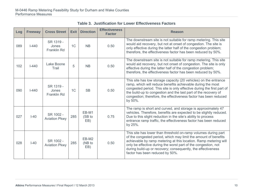| Log | <b>Freeway</b> | <b>Cross Street</b>                      | <b>Exit</b> | <b>Direction</b>       | <b>Effectiveness</b><br><b>Factor</b> | <b>Reason</b>                                                                                                                                                                                                                                                                                                                                                              |
|-----|----------------|------------------------------------------|-------------|------------------------|---------------------------------------|----------------------------------------------------------------------------------------------------------------------------------------------------------------------------------------------------------------------------------------------------------------------------------------------------------------------------------------------------------------------------|
| 089 | $I - 440$      | SR 1319 -<br>Jones<br><b>Franklin Rd</b> | 1C          | <b>NB</b>              | 0.50                                  | The downstream site is not suitable for ramp metering. This site<br>would aid recovery, but not at onset of congestion. The site is<br>only effective during the latter half of the congestion problem;<br>therefore, the effectiveness factor has been reduced by 50%.                                                                                                    |
| 102 | $I - 440$      | Lake Boone<br>Trail                      | 5           | <b>NB</b>              | 0.50                                  | The downstream site is not suitable for ramp metering. This site<br>would aid recovery, but not onset of congestion. The site is only<br>effective during the latter half of the congestion problem;<br>therefore, the effectiveness factor has been reduced by 50%.                                                                                                       |
| 090 | $I - 440$      | SR 1319 -<br>Jones<br><b>Franklin Rd</b> | 1C          | <b>SB</b>              | 0.50                                  | This site has low storage capacity (20 vehicles) on the entrance<br>ramp, which will reduce benefits achievable during the most<br>congested period. This site is only effective during the first part of<br>the build-up to congestion and the last part of the recovery of<br>congestion; therefore, the effectiveness factor has been reduced<br>by 50%.                |
| 027 | $I-40$         | SR 1002 -<br><b>Aviation Pkwy</b>        | 285         | EB-M1<br>(SB to<br>EB) | 0.75                                  | The ramp is short and curved, and storage is approximately 47<br>vehicles. Therefore, benefits are expected to be slightly reduced.<br>Due to this slight reduction in the site's ability to process<br>entrance ramp traffic, the effectiveness factor has been reduced<br>by 25%.                                                                                        |
| 028 | $I-40$         | SR 1002 -<br><b>Aviation Pkwy</b>        | 285         | EB-M2<br>(NB to<br>EB) | 0.50                                  | This site has lower than threshold on-ramp volumes during part<br>of the congested period, which may limit the amount of benefits<br>achievable by ramp metering at this location. Ramp metering will<br>only be effective during the worst part of the congestion, not<br>during build-up or recovery; consequently, the effectiveness<br>factor has been reduced by 50%. |

**Table 3. Justification for Lower Effectiveness Factors**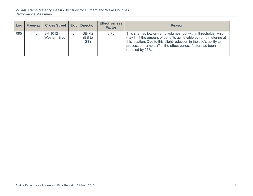#### M-0446 Ramp Metering Feasibility Study for Durham and Wake Counties Performance Measures

| Log | <b>Freeway</b> | <b>Cross Street</b>       | Exit | <b>Direction</b>       | <b>Effectiveness</b><br><b>Factor</b> | <b>Reason</b>                                                                                                                                                                                                                                                                               |
|-----|----------------|---------------------------|------|------------------------|---------------------------------------|---------------------------------------------------------------------------------------------------------------------------------------------------------------------------------------------------------------------------------------------------------------------------------------------|
| 095 | $I-440$        | SR 1012 -<br>Western Blvd |      | SB-M2<br>(EB to<br>SB) | 0.75                                  | This site has low on-ramp volumes, but within thresholds, which<br>may limit the amount of benefits achievable by ramp metering at<br>this location. Due to this slight reduction in the site's ability to<br>process on-ramp traffic, the effectiveness factor has been<br>reduced by 25%. |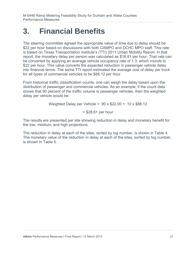#### **3. Financial Benefits**

The steering committee agreed the appropriate value of time due to delay should be \$22 per hour based on discussions with both CAMPO and DCHC MPO staff. This rate is based on Texas Transportation Institute's (TTI) 2011 Urban Mobility Report. In that report, the monetary delay per person was calculated as \$16.81 per hour. That rate can be converted by applying an average vehicle occupancy rate of 1.3, which rounds to \$22 per hour. This value converts the expected reduction in passenger vehicle delay into financial terms. The same TTI report estimated the average cost of delay per truck for all types of commercial vehicles to be \$88.12 per hour.

From historical traffic classification counts, one can weigh the delay based upon the distribution of passenger and commercial vehicles. As an example, if the count data shows that 90 percent of the traffic volume is passenger vehicles, then the weighted delay per vehicle would be:

Weighted Delay per Vehicle = .90 x \$22.00 + .10 x \$88.12

= \$28.61 per hour

The results are presented per site showing reduction in delay and monetary benefit for the low, medium, and high projections.

The reduction in delay at each of the sites, sorted by log number, is shown in Table 4. The monetary value of the reduction in delay at each of the sites, sorted by log number, is shown in Table 5.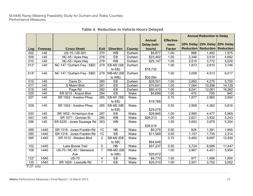|                 |                |                             |                |                  |               |               |                   | <b>Annual Reduction in Delay</b> |                                          |        |
|-----------------|----------------|-----------------------------|----------------|------------------|---------------|---------------|-------------------|----------------------------------|------------------------------------------|--------|
|                 |                |                             |                |                  |               | <b>Annual</b> | <b>Effective-</b> |                                  |                                          |        |
|                 |                |                             |                |                  |               | Delay (veh-   | ness              |                                  | 10% Delay 15% Delay 20% Delay            |        |
| Log             | <b>Freeway</b> | <b>Cross Street</b>         | <b>Exit</b>    | <b>Direction</b> | <b>County</b> | hours)        | <b>Factor</b>     |                                  | <b>Reduction   Reduction   Reduction</b> |        |
| 002             | H40            | US-15 / US-501              | 270            | <b>WB</b>        | Durham        | \$9,877       | 1.00              | 988                              | 1,482                                    | 1,975  |
| 009             | $ -40$         | NC-55 / Apex Hwy            | 278            | EB               | Durham        | \$23,462      | 1.00              | 2,346                            | 3,519                                    | 4,692  |
| 010             | $I-40$         | NC-55 / Apex Hwy            | 278            | <b>WB</b>        | Durham        | \$25,147      | 1.00              | 2,515                            | 3,772                                    | 5,029  |
| $012*$          | $ -40$         | NC-147 / Durham Fwy - SBD   | 279            | EB-M2 (SB        | Durham        |               | 1.00              | 1,873                            | 2,810                                    | 3,746  |
|                 |                |                             |                | to EB)           |               | \$18,732      |                   |                                  |                                          |        |
| $014*$          | $I-40$         | NC-147 / Durham Fwy - SBD   | 279            | WB-M2 (SB        | Durham        |               | 1.00              | 3,008                            | 4,513                                    | 6,017  |
|                 |                |                             |                | to WB)           |               | \$30,084      |                   |                                  |                                          |        |
| 015             | 40             | Davis Dr                    | 280            | EB               | Durham        | \$28,501      | 1.00              | 2,850                            | 4,275                                    | 5,700  |
| 017             | $ -40$         | S Miami Blvd                | 281            | EB               | Durham        | \$70,641      | 1.00              | 7,064                            | 10,596                                   | 14,128 |
| 019             | H40            | Page Rd                     | 282            | EB               | Durham        | \$80,410      | 1.00              | 8,041                            | 12,061                                   | 16,082 |
| 025             | $I-40$         | SR 3015 - Airport Blvd      | 284            | EB               | Wake          | \$4,699       | 1.00              | 470                              | 705                                      | 940    |
| 027             | H40            | SR 1002 - Aviation Pkwy     | 285            | EB-M1 (SB        | Wake          |               | 0.75              | 1,977                            | 2,965                                    | 3,954  |
|                 |                |                             |                | to EB)           |               | \$19,768      |                   |                                  |                                          |        |
| 028             | $I-40$         | SR 1002 - Aviation Pkwy     | 285            | EB-M2 (NB        | Wake          |               | 0.50              | 2,908                            | 4,362                                    | 5,816  |
|                 |                |                             |                | to $EB$ )        |               | \$29,078      |                   |                                  |                                          |        |
| 030             | $I-40$         | SR 1652 - N Harrison Ave    | 287            | EB               | Wake          | \$29,845      | 1.00              | 2,985                            | 4,477                                    | 5,969  |
| 043             | $ -40$         | SR 1571 - Gorman St         | 295            | <b>WB</b>        | Wake          | \$26,213      | 1.00              | 2,621                            | 3,932                                    | 5,243  |
| 056             | 40             | SR 5220 - Jones Sausage Rd  | 303            | <b>WB</b>        | Wake          |               | 1.00              | 2,652                            | 3,978                                    | 5,304  |
|                 |                |                             |                |                  |               | \$26,518      |                   |                                  |                                          |        |
| 089             | $I-440$        | SR 1319 - Jones Franklin Rd | 1 <sub>C</sub> | NB               | Wake          | \$9,275       | 0.50              | 928                              | 1,391                                    | 1,855  |
| 090             | $I-440$        | SR 1319 - Jones Franklin Rd | 1 <sub>C</sub> | <b>SB</b>        | Wake          | \$11,569      | 0.50              | 1,157                            | 1,735                                    | 2,314  |
| 095             | $I-440$        | SR 1012 - Western Blvd      | $\overline{2}$ | SB-M2 (EB        | Wake          |               | 0.75              | 6,465                            | 9,697                                    | 12,930 |
|                 |                |                             |                | to SB)           |               | \$64,648      |                   |                                  |                                          |        |
| 102             | $I-440$        | Lake Boone Trail            | 5              | <b>NB</b>        | Wake          | \$57,237      | 0.50              | 5,724                            | 8,586                                    | 11,447 |
| 108             | $I-440$        | US-70 / NC-50 / Glenwood    | $\overline{7}$ | WB-M2 (SB        | Wake          |               | 1.00              | 2,967                            | 4,451                                    | 5,934  |
|                 |                | Ave                         |                | to WB)           |               | \$29,672      |                   |                                  |                                          |        |
| $133*$          | $I-540$        | <b>US-70</b>                | 4              | EB               | Wake          | \$9,770       | 1.00              | 977                              | 1,466                                    | 1,954  |
| 135             | $I-540$        | SR 1829 - Leesville Rd      | $\overline{7}$ | EB               | Wake          | \$25,010      | 1.00              | 2,501                            | 3,752                                    | 5,002  |
| <b>F2F</b> site |                |                             |                |                  |               |               |                   |                                  |                                          |        |

**Table 4. Reduction in Vehicle Hours Delayed**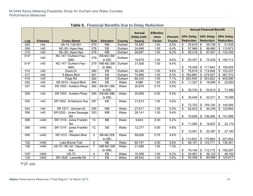|                  |                  |                          |                  |                  |               |               |                   |                |                 | <b>Annual Financial Benefit</b> |                           |                  |                           |                  |
|------------------|------------------|--------------------------|------------------|------------------|---------------|---------------|-------------------|----------------|-----------------|---------------------------------|---------------------------|------------------|---------------------------|------------------|
|                  |                  |                          |                  |                  |               | <b>Annual</b> | <b>Effective-</b> |                |                 |                                 |                           |                  |                           |                  |
|                  |                  |                          |                  |                  |               | Delay (veh-   | ness              | <b>Percent</b> |                 | 10% Delay                       |                           | 15% Delay        |                           | 20% Delay        |
| Log              | Freeway          | <b>Cross Street</b>      | <b>Exit</b>      | <b>Direction</b> | <b>County</b> | hours)        | <b>Factor</b>     | <b>Trucks</b>  |                 | <b>Reduction</b>                |                           | <b>Reduction</b> |                           | <b>Reduction</b> |
| 002              | $H - 40$         | US-15 / US-501           | 270              | <b>WB</b>        | Durham        | 10,482        | 1.00              | 8.5%           | \$              | 25,818                          | \$                        | 38,726           | \$                        | 51,635           |
| 009              | $I-40$           | NC-55 / Apex Hwy         | 278              | $E$ B            | Durham        | 24,898        | 1.00              | 6.4%           | \$              | 57,986                          | $\boldsymbol{\mathsf{S}}$ | 86,980           | $\boldsymbol{\mathsf{S}}$ | 115,973          |
| 010              | F40              | NC-55 / Apex Hwy         | 278              | <b>WB</b>        | Durham        | 26,687        | 1.00              | 8.2%           | \$              | 65,218                          | \$                        | 97,827           | $\boldsymbol{\mathsf{S}}$ | 130,436          |
| $012*$           | $I-40$           | NC-147 / Durham Fwy -    | 279              | EB-M2 (SB        | Durham        |               |                   |                |                 |                                 |                           |                  |                           |                  |
|                  |                  | <b>SBD</b>               |                  | to $EB$ )        |               | 19,879        | 1.00              | 9.6%           | \$              | 50,357                          | \$                        | 75,535           |                           | \$100,713        |
| $014*$           | F40              | NC-147 / Durham Fwy -    | $\overline{279}$ | WB-M2 (SB        | Durham        | 31,926        | 1.00              | 8.4%           |                 |                                 |                           |                  |                           |                  |
|                  |                  | <b>SBD</b>               |                  | to WB)           |               |               |                   |                | \$              | 78,429                          |                           | \$117,644        | $\boldsymbol{\mathsf{S}}$ | 156,859          |
| 015              | $\overline{140}$ | Davis Dr                 | 280              | $E$ B            | Durham        | 30,246        | 1.00              | 9.6%           | $\mathfrak{S}$  | 76,619                          |                           | \$114,928        | $\$\$                     | 153,237          |
| 017              | F40              | S Miami Blvd             | 281              | $E$ B            | Durham        | 74,966        | 1.00              | 8.3%           | \$              | 183,685                         |                           | \$275,527        | $\boldsymbol{\mathsf{S}}$ | 367,370          |
| 019              | $I-40$           | Page Rd                  | 282              | EB               | Durham        | 85,333        | 1.00              | 7.1%           | \$              | 202,548                         | $\mathfrak{S}$            | 303,822          | \$                        | 405,096          |
| 025              | F40              | SR 3015 - Airport Blvd   | 284              | $E$ B            | Wake          | 4,986         | 1.00              | 5.5%           | \$              | 11,327                          | \$                        | 16,990           | \$                        | 22,653           |
| 027              | $I-40$           | SR 1002 - Aviation Pkwy  | 285              | EB-M1 (SB        | Wake          | 20,979        | 0.75              | 5.5%           |                 |                                 |                           |                  |                           |                  |
|                  |                  |                          |                  | to EB)           |               |               |                   |                | \$              | 35,740                          | $\sqrt[6]{3}$             | 53,610           | -\$                       | 71,480           |
| $\overline{028}$ | F40              | SR 1002 - Aviation Pkwy  | 285              | EB-M2 (NB        | Wake          | 30,859        | 0.50              | 5.5%           |                 |                                 |                           |                  |                           |                  |
|                  |                  |                          |                  | to $EB$ )        |               |               |                   |                | \$              | 35,048                          | \$                        | 52,571           | \$                        | 70,095           |
| $\overline{030}$ | F40              | SR 1652 - N Harrison Ave | $\overline{287}$ | $E$ B            | Wake          | 31,673        | 1.00              | 5.9%           |                 |                                 |                           |                  |                           |                  |
|                  |                  |                          |                  |                  |               |               |                   |                | \$              | 72,753                          |                           | \$109,129        | \$                        | 145,506          |
| 043              | $I-40$           | SR 1571 - Gorman St      | 295              | <b>WB</b>        | Wake          | 27,817        | 1.00              | 5.3%           | $\overline{\$}$ | 62,832                          | $\mathfrak{S}$            | 94,248           | $\overline{\mathbf{s}}$   | 125,664          |
| 056              | $\overline{140}$ | SR 5220 - Jones Sausage  | 303              | <b>WB</b>        | Wake          | 28,141        | 1.00              | 9.4%           |                 |                                 |                           |                  |                           |                  |
|                  |                  | Rd                       |                  |                  |               |               |                   |                | \$              | 70,928                          |                           | \$106,392        |                           | \$141,856        |
| 089              | $I-440$          | SR 1319 - Jones Franklin | $\overline{1C}$  | NB               | Wake          | 9,843         | 0.50              | 5.2%           |                 |                                 |                           |                  |                           |                  |
|                  |                  | Rd                       |                  |                  |               |               |                   |                | \$              | 11,085                          | $\sqrt[6]{3}$             | 16,627           | \$                        | 22,170           |
| 090              | $I-440$          | SR 1319 - Jones Franklin | 1 <sup>C</sup>   | <b>SB</b>        | Wake          | 12,277        | 0.50              | 4.6%           |                 |                                 |                           |                  |                           |                  |
|                  |                  | Rd                       |                  |                  |               |               |                   |                | \$              | 13,591                          | \$                        | 20,387           | \$                        | 27,183           |
| 095              | $I-440$          | SR 1012 - Western Blvd   | $\overline{2}$   | SB-M2 (EB        | Wake          | 68,606        | 0.75              | 4.6%           |                 |                                 |                           |                  |                           |                  |
|                  |                  |                          |                  | to SB)           |               |               |                   |                |                 | \$113,922                       |                           | \$170,884        |                           | \$227,845        |
| 102              | F440             | Lake Boone Trail         | 5                | $\overline{NB}$  | Wake          | 60,741        | 0.50              | 5.6%           | \$              | 69,181                          |                           | \$103,771        | \$                        | 138,361          |
| 108              | $I-440$          | US-70 / NC-50 / Glenwood | $\overline{7}$   | WB-M2 (SB        | Wake          | 31,488        | 1.00              | 7.3%           |                 |                                 |                           |                  |                           |                  |
|                  |                  | Ave                      |                  | to WB)           |               |               |                   |                | \$              | 75,144                          |                           | \$112,715        | \$                        | 150,287          |
| $133*$           | F540             | <b>US-70</b>             | $\overline{4}$   | EB               | Wake          | 10,368        | 1.00              | 6.3%           | \$              | 24,081                          | $\mathfrak{s}$            | 36,122           | $\boldsymbol{\mathsf{S}}$ | 48,162           |
| 135              | $I-540$          | SR 1829 - Leesville Rd   | $\overline{7}$   | EB               | Wake          | 26,542        | 1.00              | 5.6%           | $\overline{\$}$ | 60,458                          | $\overline{\mathcal{S}}$  | $90,688$ \$      |                           | 120,917          |

**Table 5. Financial Benefits Due to Delay Reduction**

\*F2F site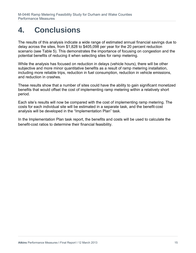## **4. Conclusions**

The results of this analysis indicate a wide range of estimated annual financial savings due to delay across the sites, from \$1,828 to \$405,098 per year for the 20 percent reduction scenario (see Table 5). This demonstrates the importance of focusing on congestion and the potential benefits of reducing it when selecting sites for ramp metering.

While the analysis has focused on reduction in delays (vehicle hours), there will be other subjective and more minor quantitative benefits as a result of ramp metering installation, including more reliable trips, reduction in fuel consumption, reduction in vehicle emissions, and reduction in crashes.

These results show that a number of sites could have the ability to gain significant monetized benefits that would offset the cost of implementing ramp metering within a relatively short period.

Each site's results will now be compared with the cost of implementing ramp metering. The costs for each individual site will be estimated in a separate task, and the benefit-cost analysis will be developed in the "Implementation Plan" task.

In the Implementation Plan task report, the benefits and costs will be used to calculate the benefit-cost ratios to determine their financial feasibility.